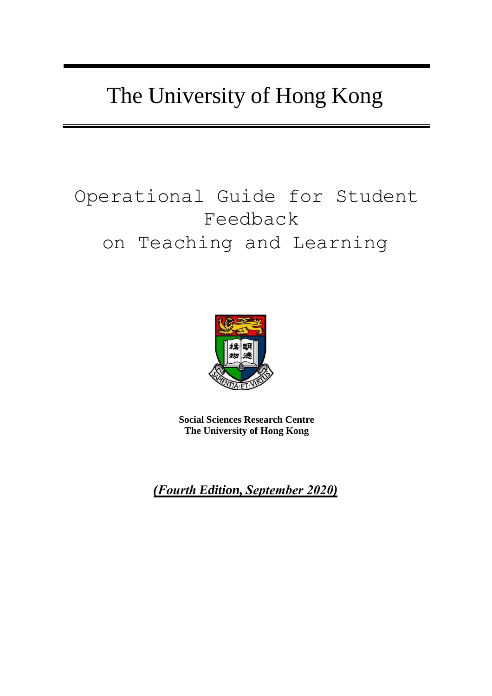# The University of Hong Kong

# Operational Guide for Student Feedback on Teaching and Learning



**Social Sciences Research Centre The University of Hong Kong**

*(Fourth Edition, September 2020)*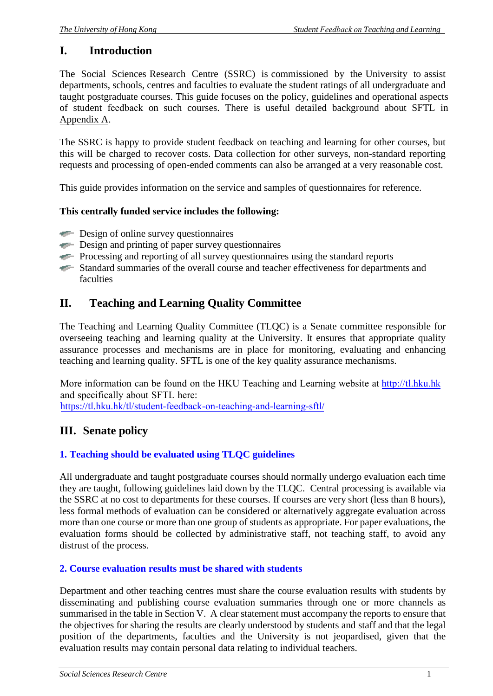# **I. Introduction**

The Social Sciences Research Centre (SSRC) is commissioned by the University to assist departments, schools, centres and faculties to evaluate the student ratings of all undergraduate and taught postgraduate courses. This guide focuses on the policy, guidelines and operational aspects of student feedback on such courses. There is useful detailed background about SFTL in Appendix A.

The SSRC is happy to provide student feedback on teaching and learning for other courses, but this will be charged to recover costs. Data collection for other surveys, non-standard reporting requests and processing of open-ended comments can also be arranged at a very reasonable cost.

This guide provides information on the service and samples of questionnaires for reference.

## **This centrally funded service includes the following:**

- $\equiv$  Design of online survey questionnaires
- $\equiv$  Design and printing of paper survey questionnaires
- Processing and reporting of all survey questionnaires using the standard reports
- Standard summaries of the overall course and teacher effectiveness for departments and faculties

# **II. Teaching and Learning Quality Committee**

The Teaching and Learning Quality Committee (TLQC) is a Senate committee responsible for overseeing teaching and learning quality at the University. It ensures that appropriate quality assurance processes and mechanisms are in place for monitoring, evaluating and enhancing teaching and learning quality. SFTL is one of the key quality assurance mechanisms.

More information can be found on the HKU Teaching and Learning website at http://tl.hku.hk [and specificall](http://tl.hku.hk)y about SFTL here: https://[tl.hku.hk/tl/student-feedback-on-teaching-and-learning-sftl](https://tl.hku.hk/tl/student-feedback-on-teaching-and-learning-sftl/)/

# **III. Senate policy**

## **1. Teaching should be evaluated using TLQC guidelines**

All undergraduate and taught postgraduate courses should normally undergo evaluation each time they are taught, following guidelines laid down by the TLQC. Central processing is available via the SSRC at no cost to departments for these courses. If courses are very short (less than 8 hours), less formal methods of evaluation can be considered or alternatively aggregate evaluation across more than one course or more than one group of students as appropriate. For paper evaluations, the evaluation forms should be collected by administrative staff, not teaching staff, to avoid any distrust of the process.

## **2. Course evaluation results must be shared with students**

Department and other teaching centres must share the course evaluation results with students by disseminating and publishing course evaluation summaries through one or more channels as summarised in the table in Section V. A clear statement must accompany the reports to ensure that the objectives for sharing the results are clearly understood by students and staff and that the legal position of the departments, faculties and the University is not jeopardised, given that the evaluation results may contain personal data relating to individual teachers.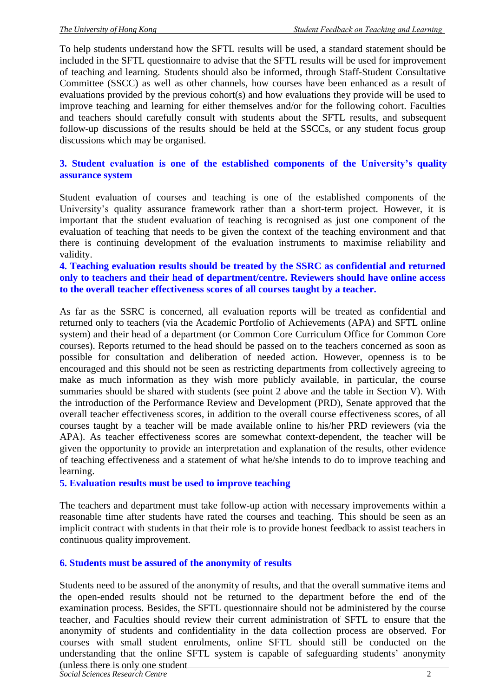To help students understand how the SFTL results will be used, a standard statement should be included in the SFTL questionnaire to advise that the SFTL results will be used for improvement of teaching and learning. Students should also be informed, through Staff-Student Consultative Committee (SSCC) as well as other channels, how courses have been enhanced as a result of evaluations provided by the previous cohort(s) and how evaluations they provide will be used to improve teaching and learning for either themselves and/or for the following cohort. Faculties and teachers should carefully consult with students about the SFTL results, and subsequent follow-up discussions of the results should be held at the SSCCs, or any student focus group discussions which may be organised.

## **3. Student evaluation is one of the established components of the University's quality assurance system**

Student evaluation of courses and teaching is one of the established components of the University's quality assurance framework rather than a short-term project. However, it is important that the student evaluation of teaching is recognised as just one component of the evaluation of teaching that needs to be given the context of the teaching environment and that there is continuing development of the evaluation instruments to maximise reliability and validity.

#### **4. Teaching evaluation results should be treated by the SSRC as confidential and returned only to teachers and their head of department/centre. Reviewers should have online access to the overall teacher effectiveness scores of all courses taught by a teacher.**

As far as the SSRC is concerned, all evaluation reports will be treated as confidential and returned only to teachers (via the Academic Portfolio of Achievements (APA) and SFTL online system) and their head of a department (or Common Core Curriculum Office for Common Core courses). Reports returned to the head should be passed on to the teachers concerned as soon as possible for consultation and deliberation of needed action. However, openness is to be encouraged and this should not be seen as restricting departments from collectively agreeing to make as much information as they wish more publicly available, in particular, the course summaries should be shared with students (see point 2 above and the table in Section V). With the introduction of the Performance Review and Development (PRD), Senate approved that the overall teacher effectiveness scores, in addition to the overall course effectiveness scores, of all courses taught by a teacher will be made available online to his/her PRD reviewers (via the APA). As teacher effectiveness scores are somewhat context-dependent, the teacher will be given the opportunity to provide an interpretation and explanation of the results, other evidence of teaching effectiveness and a statement of what he/she intends to do to improve teaching and learning.

#### **5. Evaluation results must be used to improve teaching**

The teachers and department must take follow-up action with necessary improvements within a reasonable time after students have rated the courses and teaching. This should be seen as an implicit contract with students in that their role is to provide honest feedback to assist teachers in continuous quality improvement.

#### **6. Students must be assured of the anonymity of results**

Students need to be assured of the anonymity of results, and that the overall summative items and the open-ended results should not be returned to the department before the end of the examination process. Besides, the SFTL questionnaire should not be administered by the course teacher, and Faculties should review their current administration of SFTL to ensure that the anonymity of students and confidentiality in the data collection process are observed. For courses with small student enrolments, online SFTL should still be conducted on the understanding that the online SFTL system is capable of safeguarding students' anonymity (unless there is only one student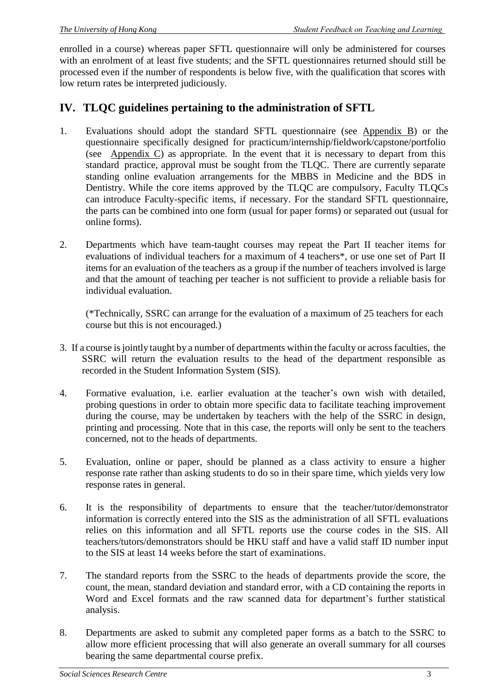enrolled in a course) whereas paper SFTL questionnaire will only be administered for courses with an enrolment of at least five students; and the SFTL questionnaires returned should still be processed even if the number of respondents is below five, with the qualification that scores with low return rates be interpreted judiciously.

# **IV. TLQC guidelines pertaining to the administration of SFTL**

- 1. Evaluations should adopt the standard SFTL questionnaire (see Appendix B) or the questionnaire specifically designed for practicum/internship/fieldwork/capstone/portfolio (see Appendix C) as appropriate. In the event that it is necessary to depart from this standard practice, approval must be sought from the TLQC. There are currently separate standing online evaluation arrangements for the MBBS in Medicine and the BDS in Dentistry. While the core items approved by the TLOC are compulsory, Faculty TLOCs can introduce Faculty-specific items, if necessary. For the standard SFTL questionnaire, the parts can be combined into one form (usual for paper forms) or separated out (usual for online forms).
- 2. Departments which have team-taught courses may repeat the Part II teacher items for evaluations of individual teachers for a maximum of 4 teachers\*, or use one set of Part II items for an evaluation of the teachers as a group if the number of teachers involved is large and that the amount of teaching per teacher is not sufficient to provide a reliable basis for individual evaluation.

(\*Technically, SSRC can arrange for the evaluation of a maximum of 25 teachers for each course but this is not encouraged.)

- 3. If a course isjointly taught by a number of departments within the faculty or acrossfaculties, the SSRC will return the evaluation results to the head of the department responsible as recorded in the Student Information System (SIS).
- 4. Formative evaluation, i.e. earlier evaluation at the teacher's own wish with detailed, probing questions in order to obtain more specific data to facilitate teaching improvement during the course, may be undertaken by teachers with the help of the SSRC in design, printing and processing. Note that in this case, the reports will only be sent to the teachers concerned, not to the heads of departments.
- 5. Evaluation, online or paper, should be planned as a class activity to ensure a higher response rate rather than asking students to do so in their spare time, which yields very low response rates in general.
- 6. It is the responsibility of departments to ensure that the teacher/tutor/demonstrator information is correctly entered into the SIS as the administration of all SFTL evaluations relies on this information and all SFTL reports use the course codes in the SIS. All teachers/tutors/demonstrators should be HKU staff and have a valid staff ID number input to the SIS at least 14 weeks before the start of examinations.
- 7. The standard reports from the SSRC to the heads of departments provide the score, the count, the mean, standard deviation and standard error, with a CD containing the reports in Word and Excel formats and the raw scanned data for department's further statistical analysis.
- 8. Departments are asked to submit any completed paper forms as a batch to the SSRC to allow more efficient processing that will also generate an overall summary for all courses bearing the same departmental course prefix.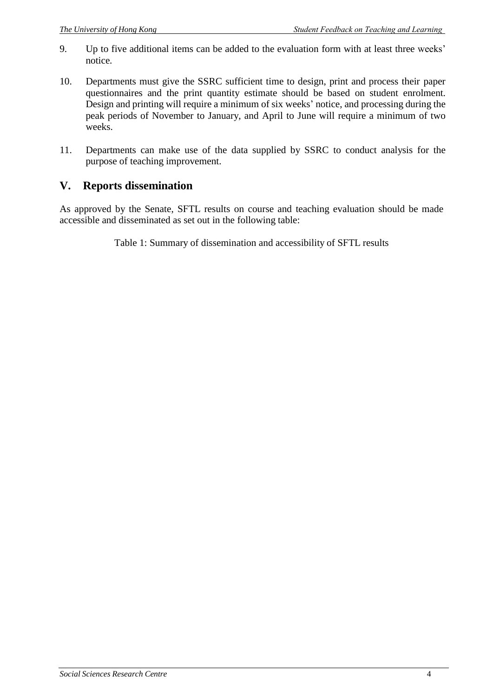- 9. Up to five additional items can be added to the evaluation form with at least three weeks' notice.
- 10. Departments must give the SSRC sufficient time to design, print and process their paper questionnaires and the print quantity estimate should be based on student enrolment. Design and printing will require a minimum of six weeks' notice, and processing during the peak periods of November to January, and April to June will require a minimum of two weeks.
- 11. Departments can make use of the data supplied by SSRC to conduct analysis for the purpose of teaching improvement.

# **V. Reports dissemination**

As approved by the Senate, SFTL results on course and teaching evaluation should be made accessible and disseminated as set out in the following table:

Table 1: Summary of dissemination and accessibility of SFTL results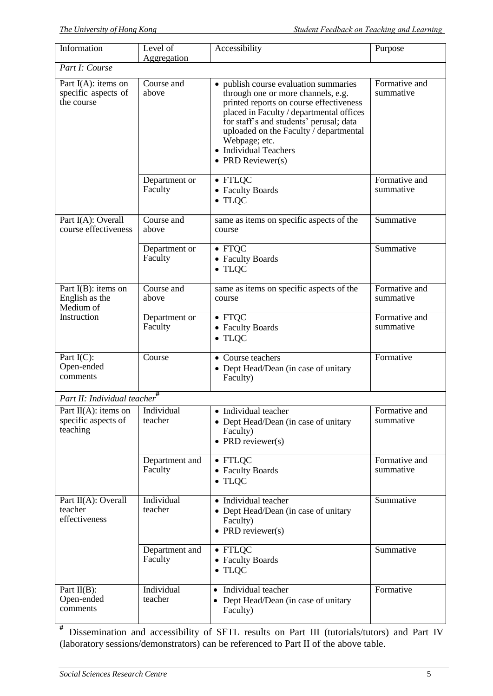| Information                                                 | Level of<br>Aggregation   | Accessibility                                                                                                                                                                                                                                                                                                          | Purpose                    |  |  |  |  |  |
|-------------------------------------------------------------|---------------------------|------------------------------------------------------------------------------------------------------------------------------------------------------------------------------------------------------------------------------------------------------------------------------------------------------------------------|----------------------------|--|--|--|--|--|
| Part I: Course                                              |                           |                                                                                                                                                                                                                                                                                                                        |                            |  |  |  |  |  |
| Part $I(A)$ : items on<br>specific aspects of<br>the course | Course and<br>above       | • publish course evaluation summaries<br>through one or more channels, e.g.<br>printed reports on course effectiveness<br>placed in Faculty / departmental offices<br>for staff's and students' perusal; data<br>uploaded on the Faculty / departmental<br>Webpage; etc.<br>• Individual Teachers<br>• PRD Reviewer(s) | Formative and<br>summative |  |  |  |  |  |
|                                                             | Department or<br>Faculty  | $\bullet$ FTLQC<br>• Faculty Boards<br>$\bullet$ TLQC                                                                                                                                                                                                                                                                  | Formative and<br>summative |  |  |  |  |  |
| Part I(A): Overall<br>course effectiveness                  | Course and<br>above       | same as items on specific aspects of the<br>course                                                                                                                                                                                                                                                                     | Summative                  |  |  |  |  |  |
|                                                             | Department or<br>Faculty  | $\bullet$ FTQC<br>• Faculty Boards<br>$\bullet$ TLQC                                                                                                                                                                                                                                                                   | Summative                  |  |  |  |  |  |
| Part $I(B)$ : items on<br>English as the<br>Medium of       | Course and<br>above       | same as items on specific aspects of the<br>course                                                                                                                                                                                                                                                                     | Formative and<br>summative |  |  |  |  |  |
| Instruction                                                 | Department or<br>Faculty  | $\bullet$ FTQC<br>• Faculty Boards<br>$\bullet$ TLQC                                                                                                                                                                                                                                                                   | Formative and<br>summative |  |  |  |  |  |
| Part I(C):<br>Open-ended<br>comments                        | Course                    | • Course teachers<br>• Dept Head/Dean (in case of unitary<br>Faculty)                                                                                                                                                                                                                                                  | Formative                  |  |  |  |  |  |
| Part II: Individual teacher                                 |                           |                                                                                                                                                                                                                                                                                                                        |                            |  |  |  |  |  |
| Part II(A): items on<br>specific aspects of<br>teaching     | Individual<br>teacher     | • Individual teacher<br>• Dept Head/Dean (in case of unitary<br>Faculty)<br>• PRD reviewer(s)                                                                                                                                                                                                                          | Formative and<br>summative |  |  |  |  |  |
|                                                             | Department and<br>Faculty | $\bullet$ FTLQC<br>• Faculty Boards<br>$\bullet$ TLQC                                                                                                                                                                                                                                                                  | Formative and<br>summative |  |  |  |  |  |
| Part II(A): Overall<br>teacher<br>effectiveness             | Individual<br>teacher     | • Individual teacher<br>• Dept Head/Dean (in case of unitary<br>Faculty)<br>• PRD reviewer(s)                                                                                                                                                                                                                          | Summative                  |  |  |  |  |  |
|                                                             | Department and<br>Faculty | $\bullet$ FTLQC<br>• Faculty Boards<br>$\bullet$ TLQC                                                                                                                                                                                                                                                                  | Summative                  |  |  |  |  |  |
| Part $II(B)$ :<br>Open-ended<br>comments                    | Individual<br>teacher     | Individual teacher<br>$\bullet$<br>• Dept Head/Dean (in case of unitary<br>Faculty)                                                                                                                                                                                                                                    | Formative                  |  |  |  |  |  |

**#** Dissemination and accessibility of SFTL results on Part III (tutorials/tutors) and Part IV (laboratory sessions/demonstrators) can be referenced to Part II of the above table.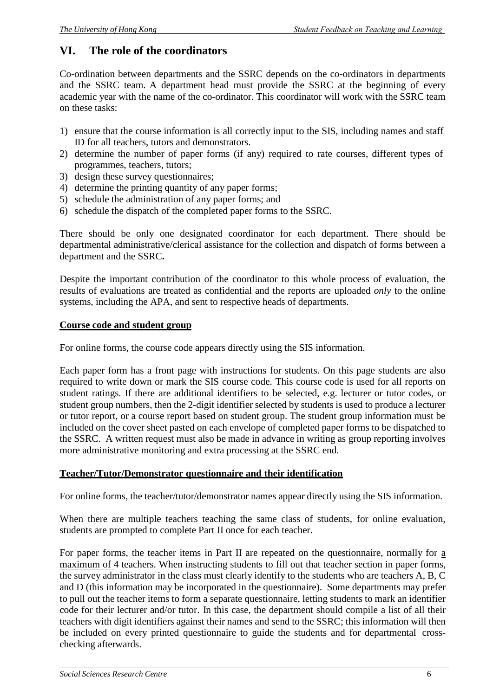# **VI. The role of the coordinators**

Co-ordination between departments and the SSRC depends on the co-ordinators in departments and the SSRC team. A department head must provide the SSRC at the beginning of every academic year with the name of the co-ordinator. This coordinator will work with the SSRC team on these tasks:

- 1) ensure that the course information is all correctly input to the SIS, including names and staff ID for all teachers, tutors and demonstrators.
- 2) determine the number of paper forms (if any) required to rate courses, different types of programmes, teachers, tutors;
- 3) design these survey questionnaires;
- 4) determine the printing quantity of any paper forms;
- 5) schedule the administration of any paper forms; and
- 6) schedule the dispatch of the completed paper forms to the SSRC.

There should be only one designated coordinator for each department. There should be departmental administrative/clerical assistance for the collection and dispatch of forms between a department and the SSRC**.**

Despite the important contribution of the coordinator to this whole process of evaluation, the results of evaluations are treated as confidential and the reports are uploaded *only* to the online systems, including the APA, and sent to respective heads of departments.

#### **Course code and student group**

For online forms, the course code appears directly using the SIS information.

Each paper form has a front page with instructions for students. On this page students are also required to write down or mark the SIS course code. This course code is used for all reports on student ratings. If there are additional identifiers to be selected, e.g. lecturer or tutor codes, or student group numbers, then the 2-digit identifier selected by students is used to produce a lecturer or tutor report, or a course report based on student group. The student group information must be included on the cover sheet pasted on each envelope of completed paper forms to be dispatched to the SSRC. A written request must also be made in advance in writing as group reporting involves more administrative monitoring and extra processing at the SSRC end.

## **Teacher/Tutor/Demonstrator questionnaire and their identification**

For online forms, the teacher/tutor/demonstrator names appear directly using the SIS information.

When there are multiple teachers teaching the same class of students, for online evaluation, students are prompted to complete Part II once for each teacher.

For paper forms, the teacher items in Part II are repeated on the questionnaire, normally for a maximum of 4 teachers. When instructing students to fill out that teacher section in paper forms, the survey administrator in the class must clearly identify to the students who are teachers A, B, C and D (this information may be incorporated in the questionnaire). Some departments may prefer to pull out the teacher items to form a separate questionnaire, letting students to mark an identifier code for their lecturer and/or tutor. In this case, the department should compile a list of all their teachers with digit identifiers against their names and send to the SSRC; this information will then be included on every printed questionnaire to guide the students and for departmental crosschecking afterwards.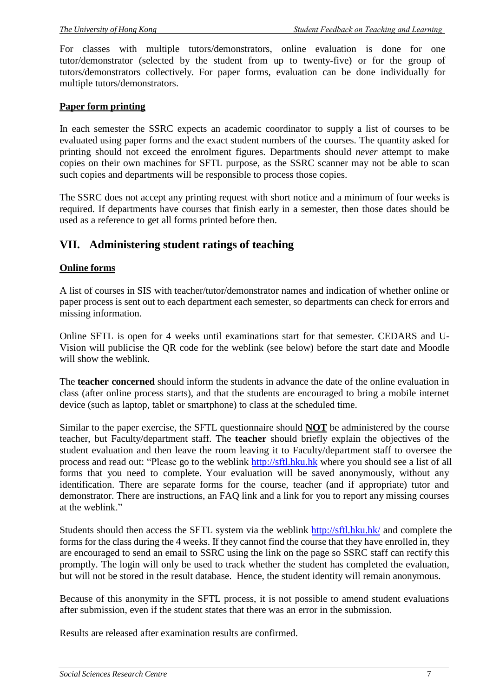For classes with multiple tutors/demonstrators, online evaluation is done for one tutor/demonstrator (selected by the student from up to twenty-five) or for the group of tutors/demonstrators collectively. For paper forms, evaluation can be done individually for multiple tutors/demonstrators.

#### **Paper form printing**

In each semester the SSRC expects an academic coordinator to supply a list of courses to be evaluated using paper forms and the exact student numbers of the courses. The quantity asked for printing should not exceed the enrolment figures. Departments should *never* attempt to make copies on their own machines for SFTL purpose, as the SSRC scanner may not be able to scan such copies and departments will be responsible to process those copies.

The SSRC does not accept any printing request with short notice and a minimum of four weeks is required. If departments have courses that finish early in a semester, then those dates should be used as a reference to get all forms printed before then.

## **VII. Administering student ratings of teaching**

#### **Online forms**

A list of courses in SIS with teacher/tutor/demonstrator names and indication of whether online or paper process is sent out to each department each semester, so departments can check for errors and missing information.

Online SFTL is open for 4 weeks until examinations start for that semester. CEDARS and U-Vision will publicise the QR code for the weblink (see below) before the start date and Moodle will show the weblink.

The **teacher concerned** should inform the students in advance the date of the online evaluation in class (after online process starts), and that the students are encouraged to bring a mobile internet device (such as laptop, tablet or smartphone) to class at the scheduled time.

Similar to the paper exercise, the SFTL questionnaire should **NOT** be administered by the course teacher, but Faculty/department staff. The **teacher** should briefly explain the objectives of the student evaluation and then leave the room leaving it to Faculty/department staff to oversee the process and read out: "Please go to the weblink http://sf[tl.hku.hk w](http://sftl.hku.hk/)here you should see a list of all forms that you need to complete. Your evaluation will be saved anonymously, without any identification. There are separate forms for the course, teacher (and if appropriate) tutor and demonstrator. There are instructions, an FAQ link and a link for you to report any missing courses at the weblink"

Students should then access the SFTL system via the weblink http://sf[tl.hku.hk/](http://sftl.hku.hk/) and complete the forms for the class during the 4 weeks. If they cannot find the course that they have enrolled in, they are encouraged to send an email to SSRC using the link on the page so SSRC staff can rectify this promptly. The login will only be used to track whether the student has completed the evaluation, but will not be stored in the result database. Hence, the student identity will remain anonymous.

Because of this anonymity in the SFTL process, it is not possible to amend student evaluations after submission, even if the student states that there was an error in the submission.

Results are released after examination results are confirmed.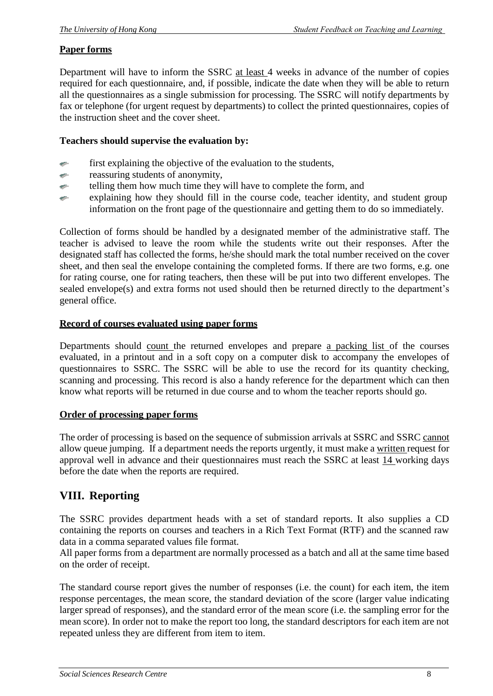## **Paper forms**

Department will have to inform the SSRC at least 4 weeks in advance of the number of copies required for each questionnaire, and, if possible, indicate the date when they will be able to return all the questionnaires as a single submission for processing. The SSRC will notify departments by fax or telephone (for urgent request by departments) to collect the printed questionnaires, copies of the instruction sheet and the cover sheet.

#### **Teachers should supervise the evaluation by:**

- first explaining the objective of the evaluation to the students,  $\mathcal{A}^{\mathrm{gen}}$
- reassuring students of anonymity, an i
- telling them how much time they will have to complete the form, and ÷.
- explaining how they should fill in the course code, teacher identity, and student group  $\mathcal{C}^{\mathcal{C}}$ information on the front page of the questionnaire and getting them to do so immediately.

Collection of forms should be handled by a designated member of the administrative staff. The teacher is advised to leave the room while the students write out their responses. After the designated staff has collected the forms, he/she should mark the total number received on the cover sheet, and then seal the envelope containing the completed forms. If there are two forms, e.g. one for rating course, one for rating teachers, then these will be put into two different envelopes. The sealed envelope(s) and extra forms not used should then be returned directly to the department's general office.

#### **Record of courses evaluated using paper forms**

Departments should count the returned envelopes and prepare a packing list of the courses evaluated, in a printout and in a soft copy on a computer disk to accompany the envelopes of questionnaires to SSRC. The SSRC will be able to use the record for its quantity checking, scanning and processing. This record is also a handy reference for the department which can then know what reports will be returned in due course and to whom the teacher reports should go.

#### **Order of processing paper forms**

The order of processing is based on the sequence of submission arrivals at SSRC and SSRC cannot allow queue jumping. If a department needs the reports urgently, it must make a written request for approval well in advance and their questionnaires must reach the SSRC at least 14 working days before the date when the reports are required.

# **VIII. Reporting**

The SSRC provides department heads with a set of standard reports. It also supplies a CD containing the reports on courses and teachers in a Rich Text Format (RTF) and the scanned raw data in a comma separated values file format.

All paper forms from a department are normally processed as a batch and all at the same time based on the order of receipt.

The standard course report gives the number of responses (i.e. the count) for each item, the item response percentages, the mean score, the standard deviation of the score (larger value indicating larger spread of responses), and the standard error of the mean score (i.e. the sampling error for the mean score). In order not to make the report too long, the standard descriptors for each item are not repeated unless they are different from item to item.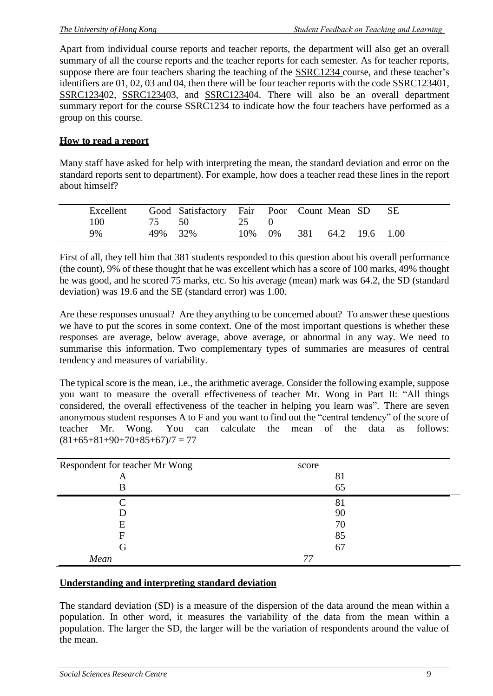Apart from individual course reports and teacher reports, the department will also get an overall summary of all the course reports and the teacher reports for each semester. As for teacher reports, suppose there are four teachers sharing the teaching of the SSRC1234 course, and these teacher's identifiers are 01, 02, 03 and 04, then there will be four teacher reports with the code SSRC123401, SSRC123402, SSRC123403, and SSRC123404. There will also be an overall department summary report for the course SSRC1234 to indicate how the four teachers have performed as a group on this course.

## **How to read a report**

Many staff have asked for help with interpreting the mean, the standard deviation and error on the standard reports sent to department). For example, how does a teacher read these lines in the report about himself?

| Excellent |         | Good Satisfactory Fair Poor Count Mean SD SE |        |                    |  |  |
|-----------|---------|----------------------------------------------|--------|--------------------|--|--|
| 100       | 75 50   |                                              | 25     |                    |  |  |
| 9%        | 49% 32% |                                              | 10% 0% | 381 64.2 19.6 1.00 |  |  |

First of all, they tell him that 381 students responded to this question about his overall performance (the count), 9% of these thought that he was excellent which has a score of 100 marks, 49% thought he was good, and he scored 75 marks, etc. So his average (mean) mark was 64.2, the SD (standard deviation) was 19.6 and the SE (standard error) was 1.00.

Are these responses unusual? Are they anything to be concerned about? To answer these questions we have to put the scores in some context. One of the most important questions is whether these responses are average, below average, above average, or abnormal in any way. We need to summarise this information. Two complementary types of summaries are measures of central tendency and measures of variability.

The typical score is the mean, i.e., the arithmetic average. Consider the following example, suppose you want to measure the overall effectiveness of teacher Mr. Wong in Part II: "All things considered, the overall effectiveness of the teacher in helping you learn was". There are seven anonymous student responses A to F and you want to find out the "central tendency" of the score of teacher Mr. Wong. You can calculate the mean of the data as follows:  $(81+65+81+90+70+85+67)/7 = 77$ 

| Respondent for teacher Mr Wong | score |  |
|--------------------------------|-------|--|
| A                              | 81    |  |
| В                              | 65    |  |
|                                | 81    |  |
|                                | 90    |  |
| Ε                              | 70    |  |
|                                | 85    |  |
| G                              | 67    |  |
| Mean                           |       |  |

#### **Understanding and interpreting standard deviation**

The standard deviation (SD) is a measure of the dispersion of the data around the mean within a population. In other word, it measures the variability of the data from the mean within a population. The larger the SD, the larger will be the variation of respondents around the value of the mean.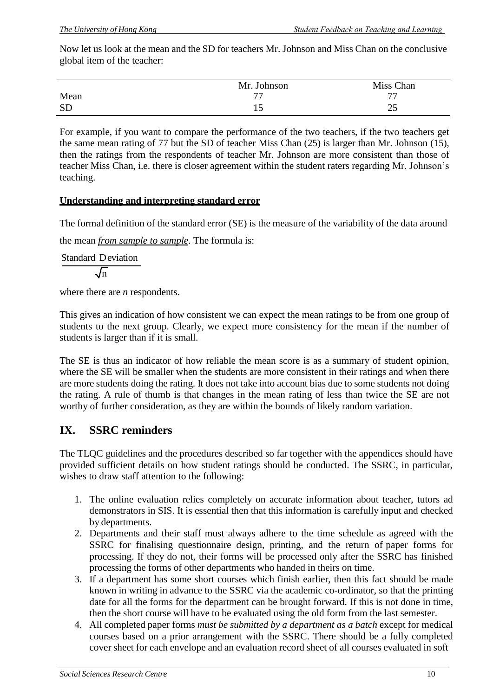Now let us look at the mean and the SD for teachers Mr. Johnson and Miss Chan on the conclusive global item of the teacher:

|           | Mr. Johnson | Miss Chan |
|-----------|-------------|-----------|
| Mean      | 77          | <b>…</b>  |
| <b>SD</b> | ل 1         | າ⊄<br>ں ک |

For example, if you want to compare the performance of the two teachers, if the two teachers get the same mean rating of 77 but the SD of teacher Miss Chan (25) is larger than Mr. Johnson (15), then the ratings from the respondents of teacher Mr. Johnson are more consistent than those of teacher Miss Chan, i.e. there is closer agreement within the student raters regarding Mr. Johnson's teaching.

## **Understanding and interpreting standard error**

The formal definition of the standard error (SE) is the measure of the variability of the data around

the mean *from sample to sample*. The formula is:

Standard Deviation

 $\sqrt{n}$ 

where there are *n* respondents.

This gives an indication of how consistent we can expect the mean ratings to be from one group of students to the next group. Clearly, we expect more consistency for the mean if the number of students is larger than if it is small.

The SE is thus an indicator of how reliable the mean score is as a summary of student opinion, where the SE will be smaller when the students are more consistent in their ratings and when there are more students doing the rating. It does not take into account bias due to some students not doing the rating. A rule of thumb is that changes in the mean rating of less than twice the SE are not worthy of further consideration, as they are within the bounds of likely random variation.

# **IX. SSRC reminders**

The TLQC guidelines and the procedures described so far together with the appendices should have provided sufficient details on how student ratings should be conducted. The SSRC, in particular, wishes to draw staff attention to the following:

- 1. The online evaluation relies completely on accurate information about teacher, tutors ad demonstrators in SIS. It is essential then that this information is carefully input and checked by departments.
- 2. Departments and their staff must always adhere to the time schedule as agreed with the SSRC for finalising questionnaire design, printing, and the return of paper forms for processing. If they do not, their forms will be processed only after the SSRC has finished processing the forms of other departments who handed in theirs on time.
- 3. If a department has some short courses which finish earlier, then this fact should be made known in writing in advance to the SSRC via the academic co-ordinator, so that the printing date for all the forms for the department can be brought forward. If this is not done in time, then the short course will have to be evaluated using the old form from the last semester.
- 4. All completed paper forms *must be submitted by a department as a batch* except for medical courses based on a prior arrangement with the SSRC. There should be a fully completed cover sheet for each envelope and an evaluation record sheet of all courses evaluated in soft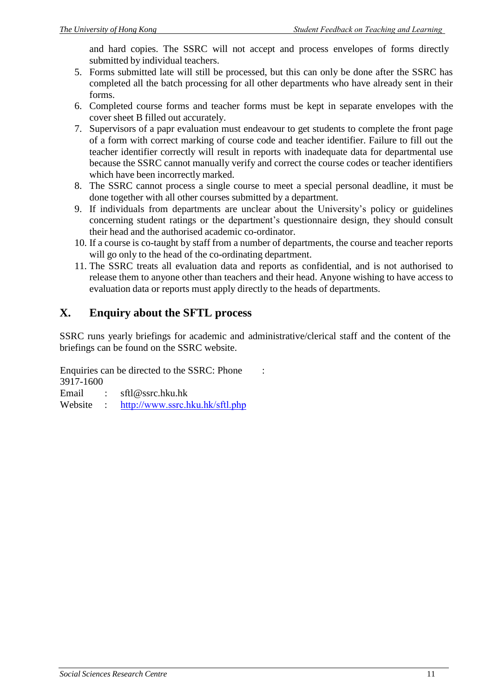and hard copies. The SSRC will not accept and process envelopes of forms directly submitted by individual teachers.

- 5. Forms submitted late will still be processed, but this can only be done after the SSRC has completed all the batch processing for all other departments who have already sent in their forms.
- 6. Completed course forms and teacher forms must be kept in separate envelopes with the cover sheet B filled out accurately.
- 7. Supervisors of a papr evaluation must endeavour to get students to complete the front page of a form with correct marking of course code and teacher identifier. Failure to fill out the teacher identifier correctly will result in reports with inadequate data for departmental use because the SSRC cannot manually verify and correct the course codes or teacher identifiers which have been incorrectly marked.
- 8. The SSRC cannot process a single course to meet a special personal deadline, it must be done together with all other courses submitted by a department.
- 9. If individuals from departments are unclear about the University's policy or guidelines concerning student ratings or the department's questionnaire design, they should consult their head and the authorised academic co-ordinator.
- 10. If a course is co-taught by staff from a number of departments, the course and teacher reports will go only to the head of the co-ordinating department.
- 11. The SSRC treats all evaluation data and reports as confidential, and is not authorised to release them to anyone other than teachers and their head. Anyone wishing to have access to evaluation data or reports must apply directly to the heads of departments.

# **X. Enquiry about the SFTL process**

SSRC runs yearly briefings for academic and administrative/clerical staff and the content of the briefings can be found on the SSRC website.

Enquiries can be directed to the SSRC: Phone : 3917-1600

Email : sf[tl@ssrc.hku.hk](mailto:sftl@ssrc.hku.hk) Website : http://[www.ssrc.hku.hk/s](http://www.ssrc.hku.hk/sftl.php)ftl.php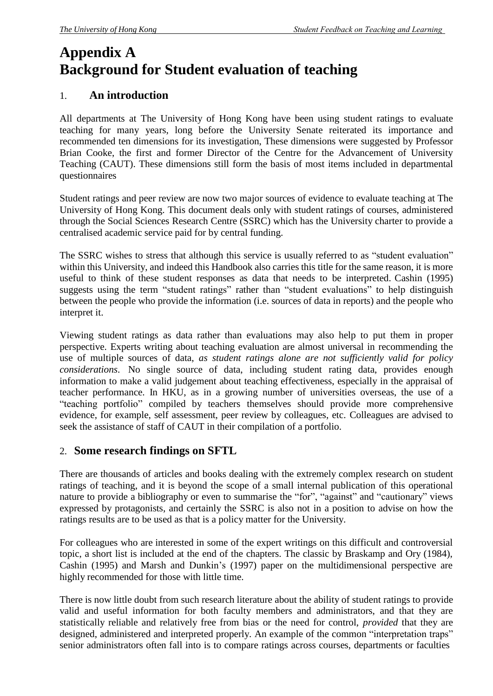# **Appendix A Background for Student evaluation of teaching**

# 1. **An introduction**

All departments at The University of Hong Kong have been using student ratings to evaluate teaching for many years, long before the University Senate reiterated its importance and recommended ten dimensions for its investigation, These dimensions were suggested by Professor Brian Cooke, the first and former Director of the Centre for the Advancement of University Teaching (CAUT). These dimensions still form the basis of most items included in departmental questionnaires

Student ratings and peer review are now two major sources of evidence to evaluate teaching at The University of Hong Kong. This document deals only with student ratings of courses, administered through the Social Sciences Research Centre (SSRC) which has the University charter to provide a centralised academic service paid for by central funding.

The SSRC wishes to stress that although this service is usually referred to as "student evaluation" within this University, and indeed this Handbook also carries this title for the same reason, it is more useful to think of these student responses as data that needs to be interpreted. Cashin (1995) suggests using the term "student ratings" rather than "student evaluations" to help distinguish between the people who provide the information (i.e. sources of data in reports) and the people who interpret it.

Viewing student ratings as data rather than evaluations may also help to put them in proper perspective. Experts writing about teaching evaluation are almost universal in recommending the use of multiple sources of data, *as student ratings alone are not sufficiently valid for policy considerations*. No single source of data, including student rating data, provides enough information to make a valid judgement about teaching effectiveness, especially in the appraisal of teacher performance. In HKU, as in a growing number of universities overseas, the use of a "teaching portfolio" compiled by teachers themselves should provide more comprehensive evidence, for example, self assessment, peer review by colleagues, etc. Colleagues are advised to seek the assistance of staff of CAUT in their compilation of a portfolio.

# 2. **Some research findings on SFTL**

There are thousands of articles and books dealing with the extremely complex research on student ratings of teaching, and it is beyond the scope of a small internal publication of this operational nature to provide a bibliography or even to summarise the "for", "against" and "cautionary" views expressed by protagonists, and certainly the SSRC is also not in a position to advise on how the ratings results are to be used as that is a policy matter for the University.

For colleagues who are interested in some of the expert writings on this difficult and controversial topic, a short list is included at the end of the chapters. The classic by Braskamp and Ory (1984), Cashin (1995) and Marsh and Dunkin's (1997) paper on the multidimensional perspective are highly recommended for those with little time.

There is now little doubt from such research literature about the ability of student ratings to provide valid and useful information for both faculty members and administrators, and that they are statistically reliable and relatively free from bias or the need for control, *provided* that they are designed, administered and interpreted properly. An example of the common "interpretation traps" senior administrators often fall into is to compare ratings across courses, departments or faculties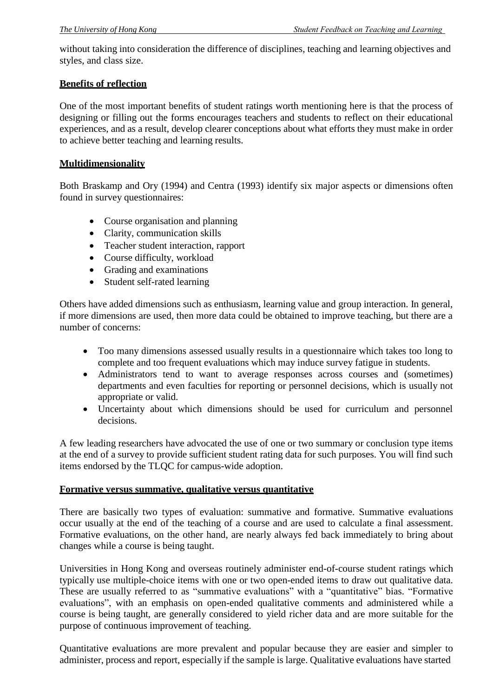without taking into consideration the difference of disciplines, teaching and learning objectives and styles, and class size.

#### **Benefits of reflection**

One of the most important benefits of student ratings worth mentioning here is that the process of designing or filling out the forms encourages teachers and students to reflect on their educational experiences, and as a result, develop clearer conceptions about what efforts they must make in order to achieve better teaching and learning results.

#### **Multidimensionality**

Both Braskamp and Ory (1994) and Centra (1993) identify six major aspects or dimensions often found in survey questionnaires:

- Course organisation and planning
- Clarity, communication skills
- Teacher student interaction, rapport
- Course difficulty, workload
- Grading and examinations
- Student self-rated learning

Others have added dimensions such as enthusiasm, learning value and group interaction. In general, if more dimensions are used, then more data could be obtained to improve teaching, but there are a number of concerns:

- Too many dimensions assessed usually results in a questionnaire which takes too long to complete and too frequent evaluations which may induce survey fatigue in students.
- Administrators tend to want to average responses across courses and (sometimes) departments and even faculties for reporting or personnel decisions, which is usually not appropriate or valid.
- Uncertainty about which dimensions should be used for curriculum and personnel decisions.

A few leading researchers have advocated the use of one or two summary or conclusion type items at the end of a survey to provide sufficient student rating data for such purposes. You will find such items endorsed by the TLQC for campus-wide adoption.

#### **Formative versus summative, qualitative versus quantitative**

There are basically two types of evaluation: summative and formative. Summative evaluations occur usually at the end of the teaching of a course and are used to calculate a final assessment. Formative evaluations, on the other hand, are nearly always fed back immediately to bring about changes while a course is being taught.

Universities in Hong Kong and overseas routinely administer end-of-course student ratings which typically use multiple-choice items with one or two open-ended items to draw out qualitative data. These are usually referred to as "summative evaluations" with a "quantitative" bias. "Formative evaluations", with an emphasis on open-ended qualitative comments and administered while a course is being taught, are generally considered to yield richer data and are more suitable for the purpose of continuous improvement of teaching.

Quantitative evaluations are more prevalent and popular because they are easier and simpler to administer, process and report, especially if the sample is large. Qualitative evaluations have started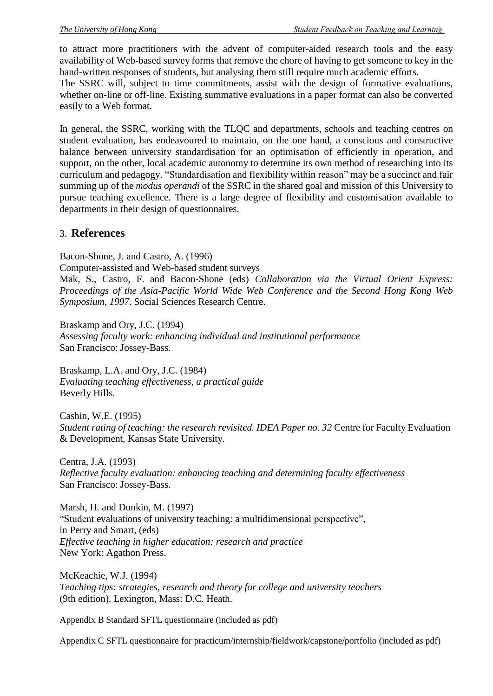to attract more practitioners with the advent of computer-aided research tools and the easy availability of Web-based survey forms that remove the chore of having to get someone to key in the hand-written responses of students, but analysing them still require much academic efforts.

The SSRC will, subject to time commitments, assist with the design of formative evaluations, whether on-line or off-line. Existing summative evaluations in a paper format can also be converted easily to a Web format.

In general, the SSRC, working with the TLQC and departments, schools and teaching centres on student evaluation, has endeavoured to maintain, on the one hand, a conscious and constructive balance between university standardisation for an optimisation of efficiently in operation, and support, on the other, local academic autonomy to determine its own method of researching into its curriculum and pedagogy. "Standardisation and flexibility within reason" may be a succinct and fair summing up of the *modus operandi* of the SSRC in the shared goal and mission of this University to pursue teaching excellence. There is a large degree of flexibility and customisation available to departments in their design of questionnaires.

## 3. **References**

Bacon-Shone, J. and Castro, A. (1996) Computer-assisted and Web-based student surveys Mak, S., Castro, F. and Bacon-Shone (eds) *Collaboration via the Virtual Orient Express: Proceedings of the Asia-Pacific World Wide Web Conference and the Second Hong Kong Web Symposium, 1997*. Social Sciences Research Centre.

Braskamp and Ory, J.C. (1994) *Assessing faculty work: enhancing individual and institutional performance* San Francisco: Jossey-Bass.

Braskamp, L.A. and Ory, J.C. (1984) *Evaluating teaching effectiveness, a practical guide* Beverly Hills.

Cashin, W.E. (1995) *Student rating of teaching: the research revisited. IDEA Paper no. 32* Centre for Faculty Evaluation & Development, Kansas State University.

Centra, J.A. (1993) *Reflective faculty evaluation: enhancing teaching and determining faculty effectiveness* San Francisco: Jossey-Bass.

Marsh, H. and Dunkin, M. (1997) "Student evaluations of university teaching: a multidimensional perspective", in Perry and Smart, (eds) *Effective teaching in higher education: research and practice* New York: Agathon Press.

McKeachie, W.J. (1994) *Teaching tips: strategies, research and theory for college and university teachers* (9th edition). Lexington, Mass: D.C. Heath.

Appendix B Standard SFTL questionnaire (included as pdf)

Appendix C SFTL questionnaire for practicum/internship/fieldwork/capstone/portfolio (included as pdf)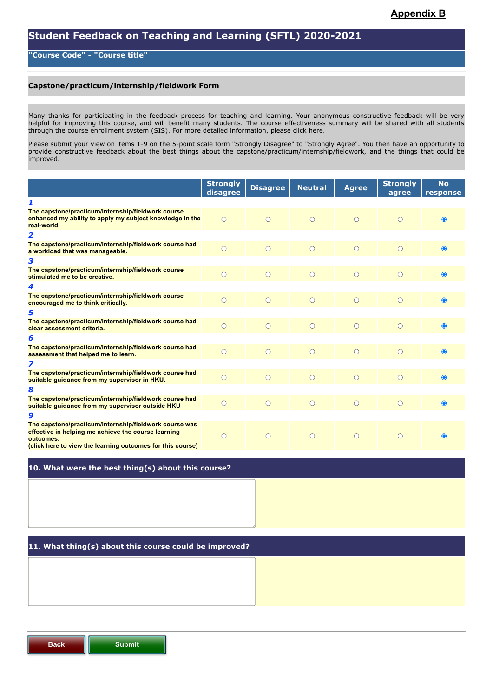#### **"Course Code" - "Course title"**

#### **Capstone/practicum/internship/fieldwork Form**

Many thanks for participating in the feedback process for teaching and learning. Your anonymous constructive feedback will be very helpful for improving this course, and will benefit many students. The course effectiveness summary will be shared with all students through the course enrollment system (SIS). For more detailed information, please click here.

Please submit your view on items 1-9 on the 5-point scale form "Strongly Disagree" to "Strongly Agree". You then have an opportunity to provide constructive feedback about the best things about the capstone/practicum/internship/fieldwork, and the things that could be improved.

|                                                                                                                                                                                          | <b>Strongly</b><br>disagree | <b>Disagree</b> | <b>Neutral</b> | <b>Agree</b> | <b>Strongly</b><br>agree | <b>No</b><br>response |
|------------------------------------------------------------------------------------------------------------------------------------------------------------------------------------------|-----------------------------|-----------------|----------------|--------------|--------------------------|-----------------------|
| 1                                                                                                                                                                                        |                             |                 |                |              |                          |                       |
| The capstone/practicum/internship/fieldwork course<br>enhanced my ability to apply my subject knowledge in the<br>real-world.                                                            | $\bigcap$                   | $\bigcap$       | $\bigcap$      | $\bigcirc$   | $\bigcap$                | $\bullet$             |
| 2                                                                                                                                                                                        |                             |                 |                |              |                          |                       |
| The capstone/practicum/internship/fieldwork course had<br>a workload that was manageable.                                                                                                |                             | $\bigcirc$      | $\bigcirc$     | $\bigcirc$   | $\bigcirc$               | $\bullet$             |
| 3                                                                                                                                                                                        |                             |                 |                |              |                          |                       |
| The capstone/practicum/internship/fieldwork course<br>stimulated me to be creative.                                                                                                      | $\bigcirc$                  | $\bigcirc$      | $\bigcirc$     | $\circ$      | $\bigcirc$               | $\bullet$             |
| 4                                                                                                                                                                                        |                             |                 |                |              |                          |                       |
| The capstone/practicum/internship/fieldwork course<br>encouraged me to think critically.                                                                                                 | $\circ$                     | $\bigcirc$      | $\circ$        | $\circ$      | $\bigcirc$               | $\bullet$             |
| 5                                                                                                                                                                                        |                             |                 |                |              |                          |                       |
| The capstone/practicum/internship/fieldwork course had<br>clear assessment criteria.                                                                                                     | $\bigcirc$                  | $\bigcirc$      | $\circ$        | $\circ$      | $\bigcirc$               | $\bullet$             |
| 6                                                                                                                                                                                        |                             |                 |                |              |                          |                       |
| The capstone/practicum/internship/fieldwork course had<br>assessment that helped me to learn.                                                                                            | $\bigcirc$                  | $\bigcirc$      | $\circ$        | $\circ$      | $\bigcirc$               | $\bullet$             |
| 7                                                                                                                                                                                        |                             |                 |                |              |                          |                       |
| The capstone/practicum/internship/fieldwork course had<br>suitable guidance from my supervisor in HKU.                                                                                   | $\bigcirc$                  | $\bigcirc$      | $\bigcirc$     | $\circ$      | $\bigcirc$               | $\bullet$             |
| 8                                                                                                                                                                                        |                             |                 |                |              |                          |                       |
| The capstone/practicum/internship/fieldwork course had<br>suitable guidance from my supervisor outside HKU                                                                               | $\bigcap$                   | $\bigcap$       | $\circ$        | $\bigcirc$   | $\bigcirc$               | $\bullet$             |
| 9                                                                                                                                                                                        |                             |                 |                |              |                          |                       |
| The capstone/practicum/internship/fieldwork course was<br>effective in helping me achieve the course learning<br>outcomes.<br>(click here to view the learning outcomes for this course) | $\bigcirc$                  | $\bigcap$       | $\bigcap$      | $\bigcap$    | $\bigcap$                | $\bullet$             |

#### **10. What were the best thing(s) about this course?**

#### **11. What thing(s) about this course could be improved?**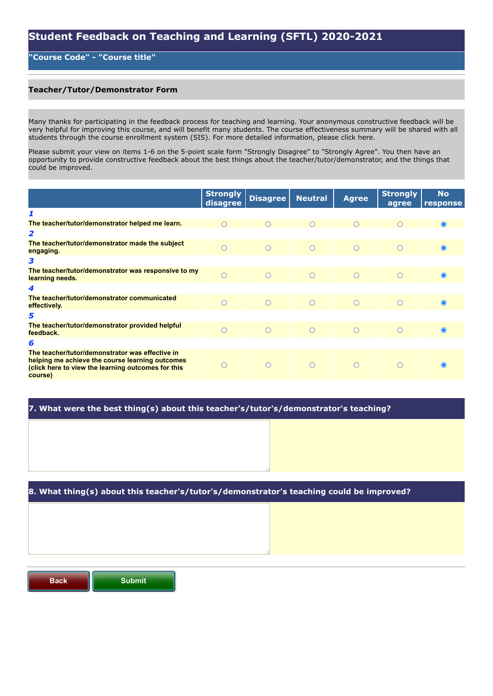# **Student Feedback on Teaching and Learning (SFTL) 2020-2021**

#### **"Course Code" - "Course title"**

#### **Teacher/Tutor/Demonstrator Form**

Many thanks for participating in the feedback process for teaching and learning. Your anonymous constructive feedback will be very helpful for improving this course, and will benefit many students. The course effectiveness summary will be shared with all students through the course enrollment system (SIS). For more detailed information, please click here.

Please submit your view on items 1-6 on the 5-point scale form "Strongly Disagree" to "Strongly Agree". You then have an opportunity to provide constructive feedback about the best things about the teacher/tutor/demonstrator, and the things that could be improved.

|                                                                                                                                                                     | <b>Strongly</b><br>disagree | <b>Disagree</b> | <b>Neutral</b> | <b>Agree</b> | <b>Strongly</b><br>agree | <b>No</b><br>response |
|---------------------------------------------------------------------------------------------------------------------------------------------------------------------|-----------------------------|-----------------|----------------|--------------|--------------------------|-----------------------|
| 1                                                                                                                                                                   |                             |                 |                |              |                          |                       |
| The teacher/tutor/demonstrator helped me learn.                                                                                                                     |                             |                 |                | 0            |                          | $\bullet$             |
| $\overline{\mathbf{z}}$                                                                                                                                             |                             |                 |                |              |                          |                       |
| The teacher/tutor/demonstrator made the subject<br>engaging.                                                                                                        |                             | $\bigcap$       | $\bigcap$      | $\bigcap$    | $\bigcap$                | $\bullet$             |
| 3                                                                                                                                                                   |                             |                 |                |              |                          |                       |
| The teacher/tutor/demonstrator was responsive to my<br>learning needs.                                                                                              | $\bigcap$                   | $\bigcap$       | $\bigcirc$     | $\bigcap$    | $\bigcirc$               | $\bullet$             |
| 4                                                                                                                                                                   |                             |                 |                |              |                          |                       |
| The teacher/tutor/demonstrator communicated<br>effectively.                                                                                                         |                             | $\bigcap$       | $\bigcirc$     | $\bigcap$    | $\bigcap$                | $\odot$               |
| 5                                                                                                                                                                   |                             |                 |                |              |                          |                       |
| The teacher/tutor/demonstrator provided helpful<br>feedback.                                                                                                        | ∩                           | $\bigcap$       | $\bigcirc$     | $\bigcirc$   | $\bigcap$                | $\bullet$             |
| 6                                                                                                                                                                   |                             |                 |                |              |                          |                       |
| The teacher/tutor/demonstrator was effective in<br>helping me achieve the course learning outcomes<br>(click here to view the learning outcomes for this<br>course) |                             |                 | $\bigcap$      | $\bigcap$    | $\bigcap$                |                       |

#### **7. What were the best thing(s) about this teacher's/tutor's/demonstrator's teaching?**

#### **8. What thing(s) about this teacher's/tutor's/demonstrator's teaching could be improved?**

**Back Submit**